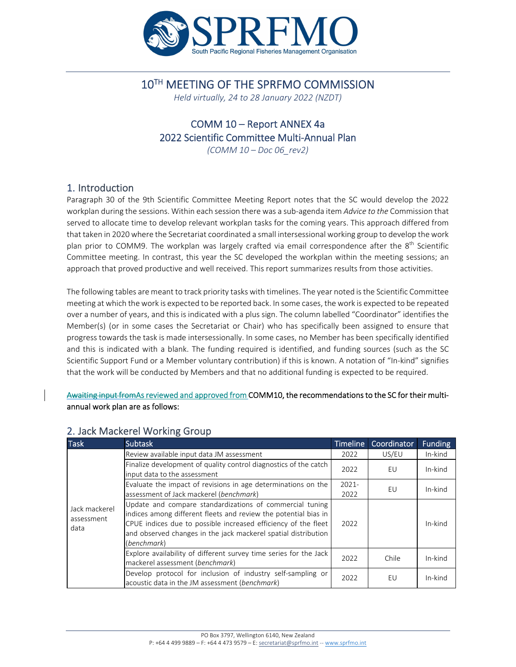

#### 10TH MEETING OF THE SPRFMO COMMISSION

*Held virtually, 24 to 28 January 2022 (NZDT)*

## COMM 10 – Report ANNEX 4a 2022 Scientific Committee Multi‐Annual Plan

*(COMM 10 – Doc 06\_rev2)*

#### 1. Introduction

Paragraph 30 of the 9th Scientific Committee Meeting Report notes that the SC would develop the 2022 workplan during the sessions. Within each session there was a sub‐agenda item *Advice to the* Commission that served to allocate time to develop relevant workplan tasks for the coming years. This approach differed from that taken in 2020 where the Secretariat coordinated a small intersessional working group to develop the work plan prior to COMM9. The workplan was largely crafted via email correspondence after the 8<sup>th</sup> Scientific Committee meeting. In contrast, this year the SC developed the workplan within the meeting sessions; an approach that proved productive and well received. This report summarizes results from those activities.

The following tables are meant to track priority tasks with timelines. The year noted isthe Scientific Committee meeting at which thework is expected to be reported back. In some cases, the work is expected to be repeated over a number of years, and this is indicated with a plus sign. The column labelled "Coordinator" identifies the Member(s) (or in some cases the Secretariat or Chair) who has specifically been assigned to ensure that progress towards the task is made intersessionally. In some cases, no Member has been specifically identified and this is indicated with a blank. The funding required is identified, and funding sources (such as the SC Scientific Support Fund or a Member voluntary contribution) if this is known. A notation of "In‐kind" signifies that the work will be conducted by Members and that no additional funding is expected to be required.

Awaiting input fromAs reviewed and approved from COMM10, the recommendations to the SC for their multiannual work plan are as follows:

| <b>Task</b>                         | <b>Subtask</b>                                                                                                                                                                                                                                                                  | <b>Timeline</b> | Coordinator | <b>Funding</b> |
|-------------------------------------|---------------------------------------------------------------------------------------------------------------------------------------------------------------------------------------------------------------------------------------------------------------------------------|-----------------|-------------|----------------|
|                                     | Review available input data JM assessment                                                                                                                                                                                                                                       | 2022            | US/EU       | In-kind        |
|                                     | Finalize development of quality control diagnostics of the catch<br>input data to the assessment                                                                                                                                                                                | 2022            | EU          | In-kind        |
|                                     | Evaluate the impact of revisions in age determinations on the                                                                                                                                                                                                                   | $2021 -$        | EU          | In-kind        |
|                                     | assessment of Jack mackerel (benchmark)                                                                                                                                                                                                                                         | 2022            |             |                |
| Jack mackerel<br>assessment<br>data | Update and compare standardizations of commercial tuning<br>lindices among different fleets and review the potential bias in<br>CPUE indices due to possible increased efficiency of the fleet<br>and observed changes in the jack mackerel spatial distribution<br>(benchmark) | 2022            |             | In-kind        |
|                                     | Explore availability of different survey time series for the Jack<br>mackerel assessment (benchmark)                                                                                                                                                                            | 2022            | Chile       | In-kind        |
|                                     | Develop protocol for inclusion of industry self-sampling or<br>acoustic data in the JM assessment (benchmark)                                                                                                                                                                   | 2022            | EU          | In-kind        |

#### 2. Jack Mackerel Working Group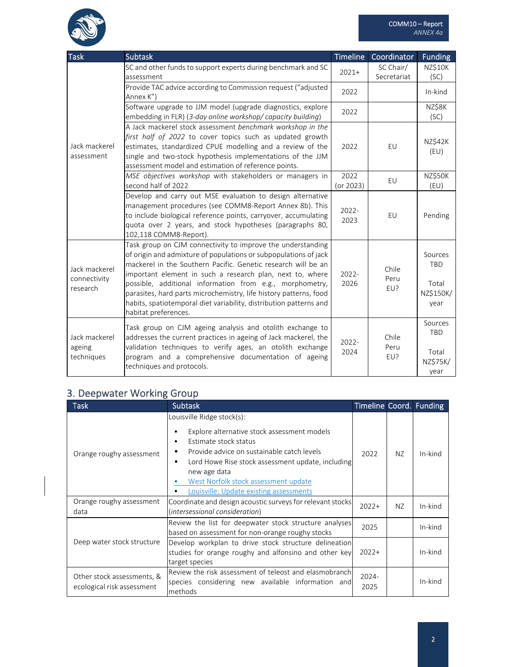

| <b>Task</b>                               | <b>Subtask</b>                                                                                                                                                                                                                                                                                                                                                                                                                                                                               | <b>Timeline</b>   | Coordinator              | <b>Funding</b>                                      |
|-------------------------------------------|----------------------------------------------------------------------------------------------------------------------------------------------------------------------------------------------------------------------------------------------------------------------------------------------------------------------------------------------------------------------------------------------------------------------------------------------------------------------------------------------|-------------------|--------------------------|-----------------------------------------------------|
| Jack mackerel<br>assessment               | SC and other funds to support experts during benchmark and SC<br>assessment                                                                                                                                                                                                                                                                                                                                                                                                                  | $2021+$           | SC Chair/<br>Secretariat | NZ\$10K<br>(SC)                                     |
|                                           | Provide TAC advice according to Commission request ("adjusted<br>Annex K")                                                                                                                                                                                                                                                                                                                                                                                                                   | 2022              |                          | In-kind                                             |
|                                           | Software upgrade to JJM model (upgrade diagnostics, explore<br>embedding in FLR) (3-day online workshop/capacity building)                                                                                                                                                                                                                                                                                                                                                                   | 2022              |                          | NZ\$8K<br>(SC)                                      |
|                                           | A Jack mackerel stock assessment benchmark workshop in the<br>first half of 2022 to cover topics such as updated growth<br>estimates, standardized CPUE modelling and a review of the<br>single and two-stock hypothesis implementations of the JJM<br>assessment model and estimation of reference points.                                                                                                                                                                                  | 2022              | EU                       | <b>NZ\$42K</b><br>(EU)                              |
|                                           | MSE objectives workshop with stakeholders or managers in<br>second half of 2022                                                                                                                                                                                                                                                                                                                                                                                                              | 2022<br>(or 2023) | EU                       | NZ\$50K<br>(EU)                                     |
|                                           | Develop and carry out MSE evaluation to design alternative<br>management procedures (see COMM8-Report Annex 8b). This<br>to include biological reference points, carryover, accumulating<br>quota over 2 years, and stock hypotheses (paragraphs 80,<br>102,118 COMM8-Report).                                                                                                                                                                                                               | 2022-<br>2023     | EU                       | Pending                                             |
| Jack mackerel<br>connectivity<br>research | Task group on CJM connectivity to improve the understanding<br>of origin and admixture of populations or subpopulations of jack<br>mackerel in the Southern Pacific. Genetic research will be an<br>important element in such a research plan, next to, where<br>possible, additional information from e.g., morphometry,<br>parasites, hard parts microchemistry, life history patterns, food<br>habits, spatiotemporal diet variability, distribution patterns and<br>habitat preferences. | $2022 -$<br>2026  | Chile<br>Peru<br>EU?     | Sources<br><b>TBD</b><br>Total<br>NZ\$150K/<br>year |
| Jack mackerel<br>ageing<br>techniques     | Task group on CJM ageing analysis and otolith exchange to<br>addresses the current practices in ageing of Jack mackerel, the<br>validation techniques to verify ages, an otolith exchange<br>program and a comprehensive documentation of ageing<br>techniques and protocols.                                                                                                                                                                                                                | $2022 -$<br>2024  | Chile<br>Peru<br>EU?     | Sources<br>TBD<br>Total<br>NZ\$75K/<br>year         |

## 3. Deepwater Working Group

| Task                                                     | <b>Subtask</b>                                                                                                                                                                                                                                                                                                          | Timeline Coord. Funding |                |         |
|----------------------------------------------------------|-------------------------------------------------------------------------------------------------------------------------------------------------------------------------------------------------------------------------------------------------------------------------------------------------------------------------|-------------------------|----------------|---------|
| Orange roughy assessment                                 | Louisville Ridge stock(s):<br>Explore alternative stock assessment models<br>Estimate stock status<br>٠<br>Provide advice on sustainable catch levels<br>٠<br>Lord Howe Rise stock assessment update, including<br>٠<br>new age data<br>West Norfolk stock assessment update<br>Louisville: Update existing assessments | 2022                    | N <sub>Z</sub> | In-kind |
| Orange roughy assessment<br>data                         | Coordinate and design acoustic surveys for relevant stocks<br>(intersessional consideration)                                                                                                                                                                                                                            | $2022+$                 | NZ             | In-kind |
|                                                          | Review the list for deepwater stock structure analyses<br>based on assessment for non-orange roughy stocks                                                                                                                                                                                                              | 2025                    |                | In-kind |
| Deep water stock structure                               | Develop workplan to drive stock structure delineation<br>studies for orange roughy and alfonsino and other key<br>target species                                                                                                                                                                                        | $2022+$                 |                | In-kind |
| Other stock assessments, &<br>ecological risk assessment | Review the risk assessment of teleost and elasmobranch<br>species considering new available information and<br>methods                                                                                                                                                                                                  | $2024 -$<br>2025        |                | In-kind |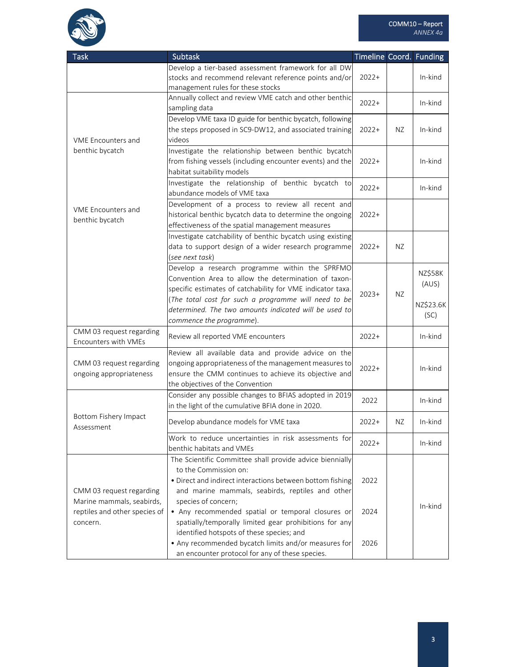

| <b>Task</b>                                           | <b>Subtask</b>                                                                                                                                                                                                                                                                                                    | Timeline Coord. Funding |     |                                              |
|-------------------------------------------------------|-------------------------------------------------------------------------------------------------------------------------------------------------------------------------------------------------------------------------------------------------------------------------------------------------------------------|-------------------------|-----|----------------------------------------------|
|                                                       | Develop a tier-based assessment framework for all DW<br>stocks and recommend relevant reference points and/or<br>management rules for these stocks                                                                                                                                                                | $2022+$                 |     | In-kind                                      |
|                                                       | Annually collect and review VME catch and other benthic<br>sampling data                                                                                                                                                                                                                                          | $2022+$                 |     | In-kind                                      |
| <b>VME Encounters and</b>                             | Develop VME taxa ID guide for benthic bycatch, following<br>the steps proposed in SC9-DW12, and associated training<br>videos                                                                                                                                                                                     | $2022+$                 | NZ. | In-kind                                      |
| benthic bycatch                                       | Investigate the relationship between benthic bycatch<br>from fishing vessels (including encounter events) and the<br>habitat suitability models                                                                                                                                                                   | $2022+$                 |     | In-kind                                      |
|                                                       | Investigate the relationship of benthic bycatch to<br>abundance models of VME taxa                                                                                                                                                                                                                                | $2022+$                 |     | In-kind                                      |
| VME Encounters and<br>benthic bycatch                 | Development of a process to review all recent and<br>historical benthic bycatch data to determine the ongoing<br>effectiveness of the spatial management measures                                                                                                                                                 | $2022+$                 |     |                                              |
|                                                       | Investigate catchability of benthic bycatch using existing<br>data to support design of a wider research programme<br>(see next task)                                                                                                                                                                             | $2022+$                 | NZ. |                                              |
|                                                       | Develop a research programme within the SPRFMO<br>Convention Area to allow the determination of taxon-<br>specific estimates of catchability for VME indicator taxa.<br>(The total cost for such a programme will need to be<br>determined. The two amounts indicated will be used to<br>commence the programme). | $2023+$                 | ΝZ  | <b>NZ\$58K</b><br>(AUS)<br>NZ\$23.6K<br>(SC) |
| CMM 03 request regarding<br>Encounters with VMEs      | Review all reported VME encounters                                                                                                                                                                                                                                                                                | $2022+$                 |     | In-kind                                      |
| CMM 03 request regarding<br>ongoing appropriateness   | Review all available data and provide advice on the<br>ongoing appropriateness of the management measures to<br>ensure the CMM continues to achieve its objective and<br>the objectives of the Convention                                                                                                         | $2022+$                 |     | In-kind                                      |
|                                                       | Consider any possible changes to BFIAS adopted in 2019<br>in the light of the cumulative BFIA done in 2020.                                                                                                                                                                                                       | 2022                    |     | In-kind                                      |
| <b>Bottom Fishery Impact</b><br>Assessment            | Develop abundance models for VME taxa                                                                                                                                                                                                                                                                             | $2022+$                 | ΝZ  | In-kind                                      |
|                                                       | Work to reduce uncertainties in risk assessments for<br>benthic habitats and VMEs                                                                                                                                                                                                                                 | $2022+$                 |     | In-kind                                      |
| CMM 03 request regarding<br>Marine mammals, seabirds, | The Scientific Committee shall provide advice biennially<br>to the Commission on:<br>· Direct and indirect interactions between bottom fishing<br>and marine mammals, seabirds, reptiles and other<br>species of concern;                                                                                         | 2022                    |     |                                              |
| reptiles and other species of<br>concern.             | • Any recommended spatial or temporal closures or<br>spatially/temporally limited gear prohibitions for any<br>identified hotspots of these species; and                                                                                                                                                          | 2024                    |     | In-kind                                      |
|                                                       | • Any recommended bycatch limits and/or measures for<br>an encounter protocol for any of these species.                                                                                                                                                                                                           | 2026                    |     |                                              |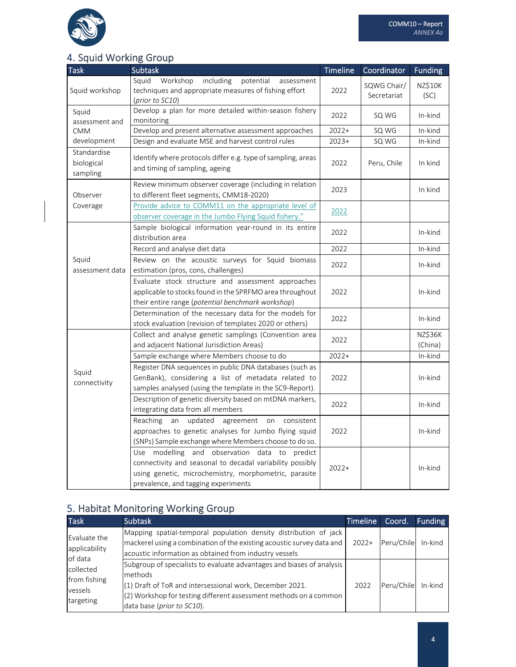

## 4. Squid Working Group

| <b>Task</b>                           | <b>Subtask</b>                                                                                                                                                                                                | Timeline | Coordinator                | <b>Funding</b>            |
|---------------------------------------|---------------------------------------------------------------------------------------------------------------------------------------------------------------------------------------------------------------|----------|----------------------------|---------------------------|
| Squid workshop                        | Squid<br>Workshop<br>including<br>potential<br>assessment<br>techniques and appropriate measures of fishing effort<br>(prior to SC10)                                                                         | 2022     | SQWG Chair/<br>Secretariat | <b>NZ\$10K</b><br>(SC)    |
| Squid<br>assessment and               | Develop a plan for more detailed within-season fishery<br>monitoring                                                                                                                                          | 2022     | SQ WG                      | In-kind                   |
| <b>CMM</b>                            | Develop and present alternative assessment approaches                                                                                                                                                         | $2022+$  | SQ WG                      | In-kind                   |
| development                           | Design and evaluate MSE and harvest control rules                                                                                                                                                             | $2023+$  | SQ WG                      | In-kind                   |
| Standardise<br>biological<br>sampling | Identify where protocols differ e.g. type of sampling, areas<br>and timing of sampling, ageing                                                                                                                | 2022     | Peru, Chile                | In kind                   |
| Observer                              | Review minimum observer coverage (including in relation<br>to different fleet segments, CMM18-2020)                                                                                                           | 2023     |                            | In kind                   |
| Coverage                              | Provide advice to COMM11 on the appropriate level of<br>observer coverage in the Jumbo Flying Squid fishery."                                                                                                 | 2022     |                            |                           |
|                                       | Sample biological information year-round in its entire<br>distribution area                                                                                                                                   | 2022     |                            | In-kind                   |
|                                       | Record and analyse diet data                                                                                                                                                                                  | 2022     |                            | In-kind                   |
| Squid<br>assessment data              | Review on the acoustic surveys for Squid biomass<br>estimation (pros, cons, challenges)                                                                                                                       | 2022     |                            | In-kind                   |
|                                       | Evaluate stock structure and assessment approaches<br>applicable to stocks found in the SPRFMO area throughout<br>their entire range (potential benchmark workshop)                                           | 2022     |                            | In-kind                   |
|                                       | Determination of the necessary data for the models for<br>stock evaluation (revision of templates 2020 or others)                                                                                             | 2022     |                            | In-kind                   |
|                                       | Collect and analyse genetic samplings (Convention area<br>and adjacent National Jurisdiction Areas)                                                                                                           | 2022     |                            | <b>NZ\$36K</b><br>(China) |
|                                       | Sample exchange where Members choose to do                                                                                                                                                                    | $2022+$  |                            | In-kind                   |
| Squid<br>connectivity                 | Register DNA sequences in public DNA databases (such as<br>GenBank), considering a list of metadata related to<br>samples analysed (using the template in the SC9-Report).                                    | 2022     |                            | In-kind                   |
|                                       | Description of genetic diversity based on mtDNA markers,<br>integrating data from all members                                                                                                                 | 2022     |                            | In-kind                   |
|                                       | Reaching<br>an updated<br>agreement on<br>consistent<br>approaches to genetic analyses for Jumbo flying squid<br>(SNPs) Sample exchange where Members choose to do so.                                        | 2022     |                            | In-kind                   |
|                                       | Use modelling and observation data to<br>predict<br>connectivity and seasonal to decadal variability possibly<br>using genetic, microchemistry, morphometric, parasite<br>prevalence, and tagging experiments | $2022+$  |                            | In-kind                   |

# 5. Habitat Monitoring Working Group

| <b>Task</b>                                                  | <b>Subtask</b>                                                                                                                                                                                                                                    | <b>Timeline</b> | Coord.     | <b>Funding</b> |
|--------------------------------------------------------------|---------------------------------------------------------------------------------------------------------------------------------------------------------------------------------------------------------------------------------------------------|-----------------|------------|----------------|
| Evaluate the<br>applicability                                | Mapping spatial-temporal population density distribution of jack<br>mackerel using a combination of the existing acoustic survey data and<br>acoustic information as obtained from industry vessels                                               | $2022+$         | Peru/Chile | In-kind        |
| of data<br>collected<br>from fishing<br>vessels<br>targeting | Subgroup of specialists to evaluate advantages and biases of analysis<br>methods<br>(1) Draft of ToR and intersessional work, December 2021.<br>$(2)$ Workshop for testing different assessment methods on a common<br>data base (prior to SC10). | 2022            | Peru/Chile | In-kind        |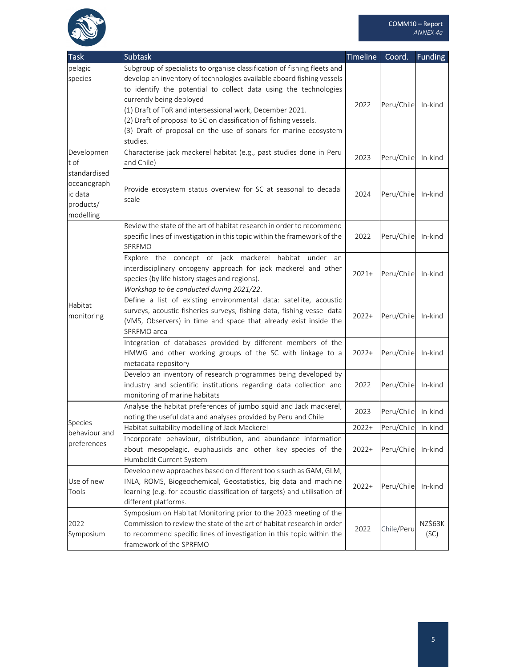

| <b>Task</b>   | <b>Subtask</b>                                                            | <b>Timeline</b> | Coord.     | <b>Funding</b> |
|---------------|---------------------------------------------------------------------------|-----------------|------------|----------------|
| pelagic       | Subgroup of specialists to organise classification of fishing fleets and  |                 |            |                |
| species       | develop an inventory of technologies available aboard fishing vessels     |                 |            |                |
|               | to identify the potential to collect data using the technologies          |                 |            |                |
|               | currently being deployed                                                  |                 |            |                |
|               | (1) Draft of ToR and intersessional work, December 2021.                  | 2022            | Peru/Chile | In-kind        |
|               | (2) Draft of proposal to SC on classification of fishing vessels.         |                 |            |                |
|               | (3) Draft of proposal on the use of sonars for marine ecosystem           |                 |            |                |
|               | studies.                                                                  |                 |            |                |
| Developmen    | Characterise jack mackerel habitat (e.g., past studies done in Peru       |                 |            |                |
| t of          | and Chile)                                                                | 2023            | Peru/Chile | In-kind        |
| standardised  |                                                                           |                 |            |                |
| oceanograph   |                                                                           |                 |            |                |
| ic data       | Provide ecosystem status overview for SC at seasonal to decadal           | 2024            | Peru/Chile | In-kind        |
| products/     | scale                                                                     |                 |            |                |
| modelling     |                                                                           |                 |            |                |
|               | Review the state of the art of habitat research in order to recommend     |                 |            |                |
|               | specific lines of investigation in this topic within the framework of the | 2022            | Peru/Chile | In-kind        |
|               | SPRFMO                                                                    |                 |            |                |
|               | Explore the concept of jack mackerel habitat under an                     |                 |            |                |
|               | interdisciplinary ontogeny approach for jack mackerel and other           |                 |            |                |
|               | species (by life history stages and regions).                             | $2021+$         | Peru/Chile | In-kind        |
|               | Workshop to be conducted during 2021/22.                                  |                 |            |                |
|               | Define a list of existing environmental data: satellite, acoustic         |                 |            |                |
| Habitat       | surveys, acoustic fisheries surveys, fishing data, fishing vessel data    |                 |            |                |
| monitoring    | (VMS, Observers) in time and space that already exist inside the          | $2022+$         | Peru/Chile | In-kind        |
|               | SPRFMO area                                                               |                 |            |                |
|               | Integration of databases provided by different members of the             |                 |            |                |
|               | HMWG and other working groups of the SC with linkage to a                 | $2022+$         | Peru/Chile | In-kind        |
|               | metadata repository                                                       |                 |            |                |
|               | Develop an inventory of research programmes being developed by            |                 |            |                |
|               | industry and scientific institutions regarding data collection and        | 2022            | Peru/Chile | In-kind        |
|               | monitoring of marine habitats                                             |                 |            |                |
|               | Analyse the habitat preferences of jumbo squid and Jack mackerel,         |                 |            |                |
|               | noting the useful data and analyses provided by Peru and Chile            | 2023            | Peru/Chile | In-kind        |
| Species       | Habitat suitability modelling of Jack Mackerel                            | $2022+$         | Peru/Chile | In-kind        |
| behaviour and | Incorporate behaviour, distribution, and abundance information            |                 |            |                |
| preferences   | about mesopelagic, euphausiids and other key species of the               | $2022+$         | Peru/Chile | In-kind        |
|               | Humboldt Current System                                                   |                 |            |                |
|               | Develop new approaches based on different tools such as GAM, GLM,         |                 |            |                |
| Use of new    | INLA, ROMS, Biogeochemical, Geostatistics, big data and machine           |                 |            |                |
| Tools         | learning (e.g. for acoustic classification of targets) and utilisation of | $2022+$         | Peru/Chile | In-kind        |
|               | different platforms.                                                      |                 |            |                |
|               | Symposium on Habitat Monitoring prior to the 2023 meeting of the          |                 |            |                |
| 2022          | Commission to review the state of the art of habitat research in order    |                 |            | NZ\$63K        |
| Symposium     | to recommend specific lines of investigation in this topic within the     | 2022            | Chile/Peru | (SC)           |
|               | framework of the SPRFMO                                                   |                 |            |                |